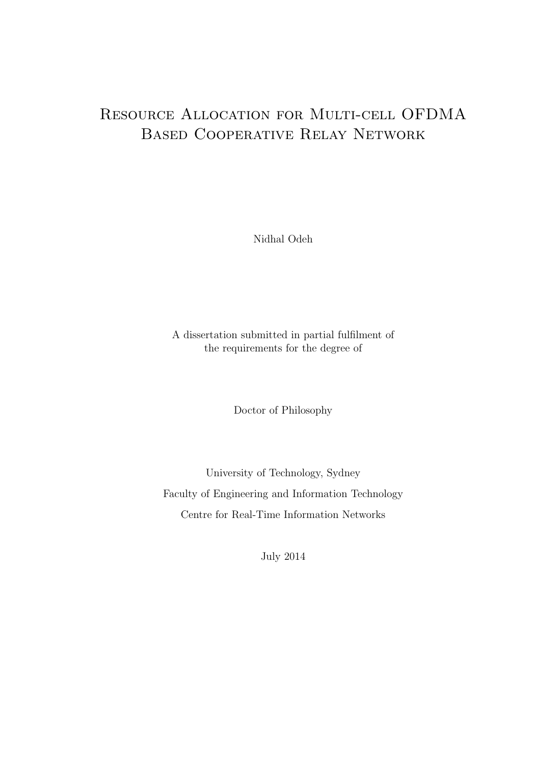# Resource Allocation for Multi-cell OFDMA Based Cooperative Relay Network

Nidhal Odeh

A dissertation submitted in partial fulfilment of the requirements for the degree of

Doctor of Philosophy

University of Technology, Sydney Faculty of Engineering and Information Technology Centre for Real-Time Information Networks

July 2014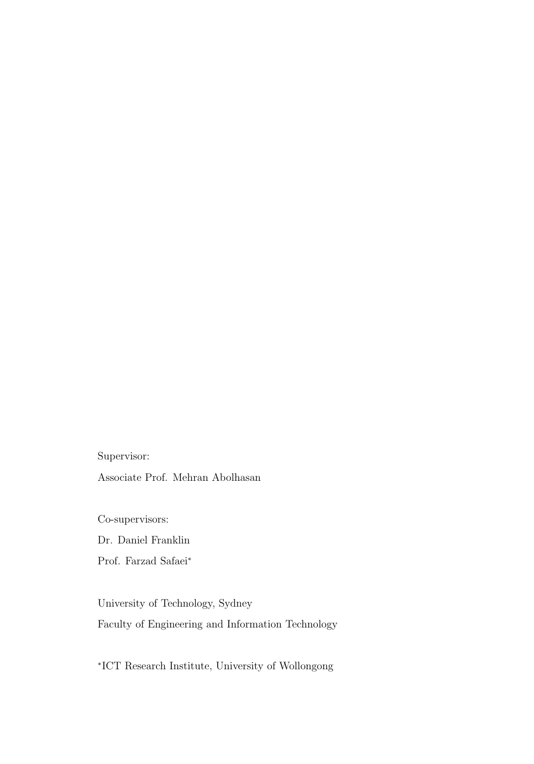Supervisor:

Associate Prof. Mehran Abolhasan

Co-supervisors: Dr. Daniel Franklin

Prof. Farzad Safaei<sup>∗</sup>

University of Technology, Sydney Faculty of Engineering and Information Technology

∗ICT Research Institute, University of Wollongong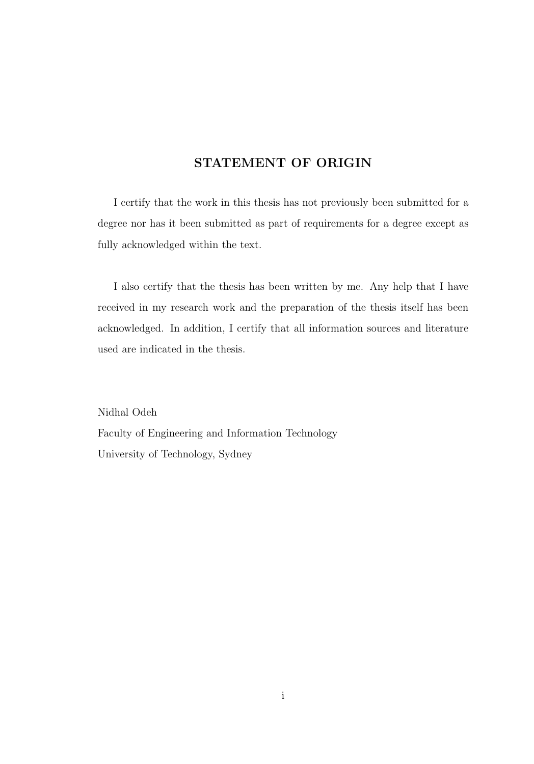#### **STATEMENT OF ORIGIN**

I certify that the work in this thesis has not previously been submitted for a degree nor has it been submitted as part of requirements for a degree except as fully acknowledged within the text.

I also certify that the thesis has been written by me. Any help that I have received in my research work and the preparation of the thesis itself has been acknowledged. In addition, I certify that all information sources and literature used are indicated in the thesis.

Nidhal Odeh Faculty of Engineering and Information Technology University of Technology, Sydney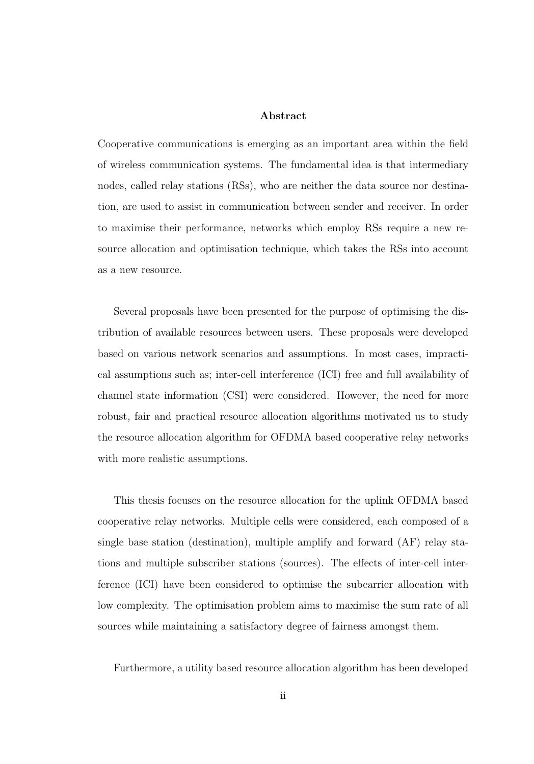#### **Abstract**

Cooperative communications is emerging as an important area within the field of wireless communication systems. The fundamental idea is that intermediary nodes, called relay stations (RSs), who are neither the data source nor destination, are used to assist in communication between sender and receiver. In order to maximise their performance, networks which employ RSs require a new resource allocation and optimisation technique, which takes the RSs into account as a new resource.

Several proposals have been presented for the purpose of optimising the distribution of available resources between users. These proposals were developed based on various network scenarios and assumptions. In most cases, impractical assumptions such as; inter-cell interference (ICI) free and full availability of channel state information (CSI) were considered. However, the need for more robust, fair and practical resource allocation algorithms motivated us to study the resource allocation algorithm for OFDMA based cooperative relay networks with more realistic assumptions.

This thesis focuses on the resource allocation for the uplink OFDMA based cooperative relay networks. Multiple cells were considered, each composed of a single base station (destination), multiple amplify and forward (AF) relay stations and multiple subscriber stations (sources). The effects of inter-cell interference (ICI) have been considered to optimise the subcarrier allocation with low complexity. The optimisation problem aims to maximise the sum rate of all sources while maintaining a satisfactory degree of fairness amongst them.

Furthermore, a utility based resource allocation algorithm has been developed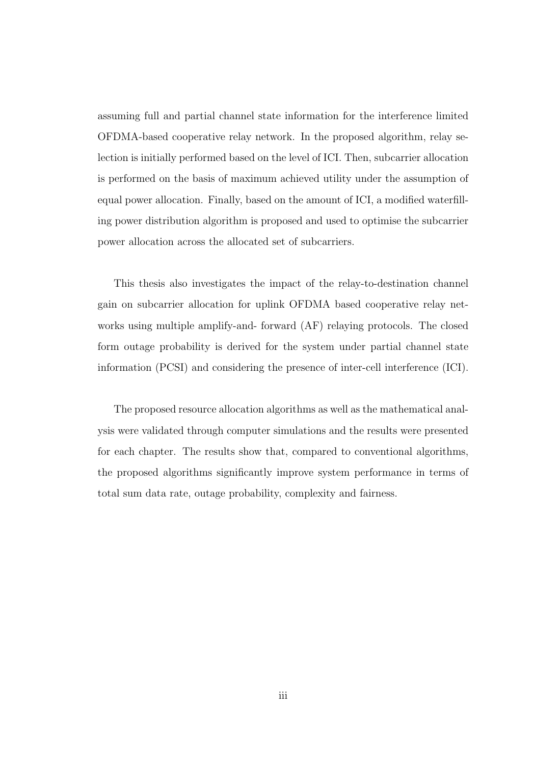assuming full and partial channel state information for the interference limited OFDMA-based cooperative relay network. In the proposed algorithm, relay selection is initially performed based on the level of ICI. Then, subcarrier allocation is performed on the basis of maximum achieved utility under the assumption of equal power allocation. Finally, based on the amount of ICI, a modified waterfilling power distribution algorithm is proposed and used to optimise the subcarrier power allocation across the allocated set of subcarriers.

This thesis also investigates the impact of the relay-to-destination channel gain on subcarrier allocation for uplink OFDMA based cooperative relay networks using multiple amplify-and- forward (AF) relaying protocols. The closed form outage probability is derived for the system under partial channel state information (PCSI) and considering the presence of inter-cell interference (ICI).

The proposed resource allocation algorithms as well as the mathematical analysis were validated through computer simulations and the results were presented for each chapter. The results show that, compared to conventional algorithms, the proposed algorithms significantly improve system performance in terms of total sum data rate, outage probability, complexity and fairness.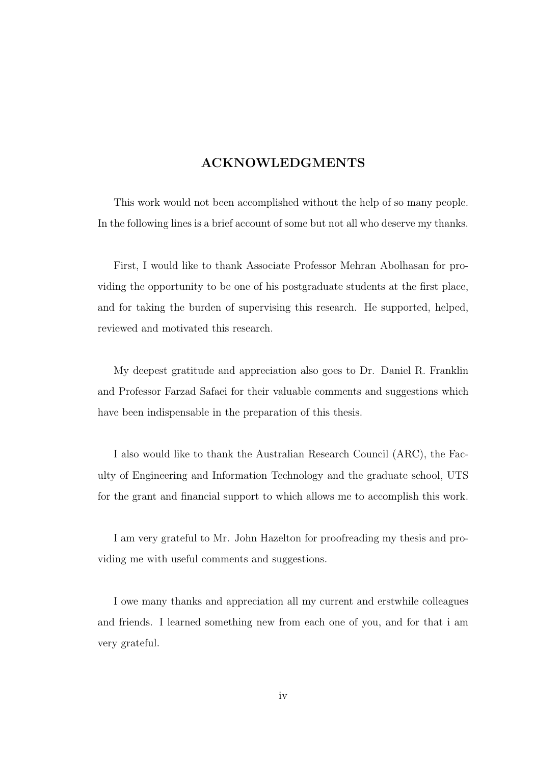#### **ACKNOWLEDGMENTS**

This work would not been accomplished without the help of so many people. In the following lines is a brief account of some but not all who deserve my thanks.

First, I would like to thank Associate Professor Mehran Abolhasan for providing the opportunity to be one of his postgraduate students at the first place, and for taking the burden of supervising this research. He supported, helped, reviewed and motivated this research.

My deepest gratitude and appreciation also goes to Dr. Daniel R. Franklin and Professor Farzad Safaei for their valuable comments and suggestions which have been indispensable in the preparation of this thesis.

I also would like to thank the Australian Research Council (ARC), the Faculty of Engineering and Information Technology and the graduate school, UTS for the grant and financial support to which allows me to accomplish this work.

I am very grateful to Mr. John Hazelton for proofreading my thesis and providing me with useful comments and suggestions.

I owe many thanks and appreciation all my current and erstwhile colleagues and friends. I learned something new from each one of you, and for that i am very grateful.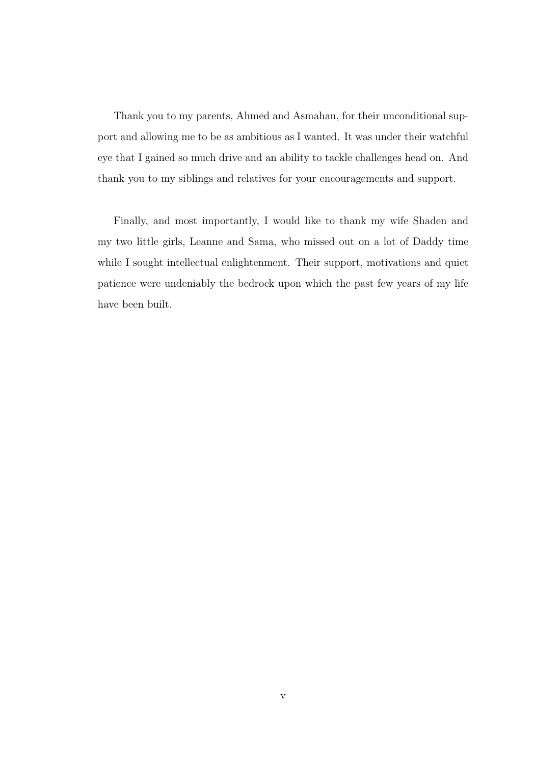Thank you to my parents, Ahmed and Asmahan, for their unconditional support and allowing me to be as ambitious as I wanted. It was under their watchful eye that I gained so much drive and an ability to tackle challenges head on. And thank you to my siblings and relatives for your encouragements and support.

Finally, and most importantly, I would like to thank my wife Shaden and my two little girls, Leanne and Sama, who missed out on a lot of Daddy time while I sought intellectual enlightenment. Their support, motivations and quiet patience were undeniably the bedrock upon which the past few years of my life have been built.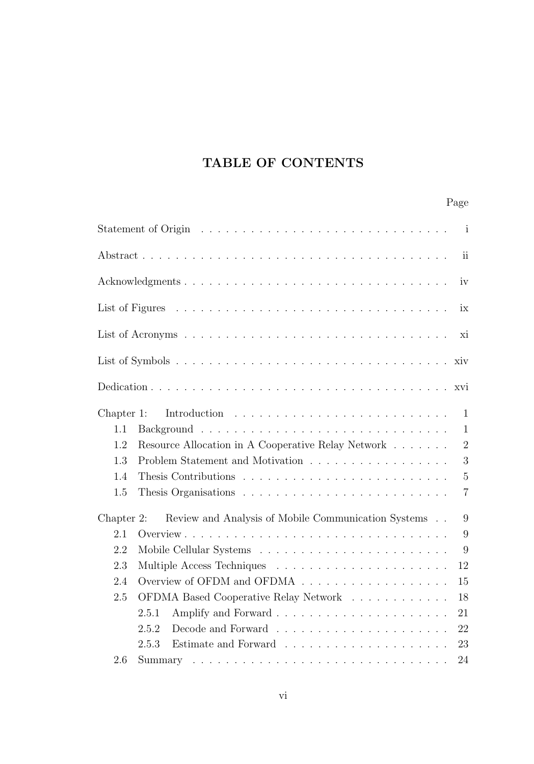## **TABLE OF CONTENTS**

|               | $\mathbf{i}$                                                                 |  |
|---------------|------------------------------------------------------------------------------|--|
|               | $\rm ii$                                                                     |  |
|               | iv                                                                           |  |
|               | ix                                                                           |  |
|               | xi                                                                           |  |
|               | xiv                                                                          |  |
|               | xvi                                                                          |  |
| $Chapter 1$ : | $\mathbf{1}$                                                                 |  |
| 1.1           | $\mathbf{1}$                                                                 |  |
| 1.2           | $\overline{2}$<br>Resource Allocation in A Cooperative Relay Network         |  |
| 1.3           | 3<br>Problem Statement and Motivation                                        |  |
| 1.4           | $\overline{5}$                                                               |  |
| 1.5           | $\overline{7}$                                                               |  |
| Chapter 2:    | Review and Analysis of Mobile Communication Systems<br>9                     |  |
| 2.1           | 9                                                                            |  |
| 2.2           |                                                                              |  |
| 2.3           | 12                                                                           |  |
| 2.4           | Overview of OFDM and OFDMA $\ldots \ldots \ldots \ldots \ldots \ldots$<br>15 |  |
| 2.5           | OFDMA Based Cooperative Relay Network<br>18                                  |  |
|               | 21<br>2.5.1                                                                  |  |
|               | 22<br>2.5.2                                                                  |  |
|               | 2.5.3<br>23                                                                  |  |
| 2.6           | 24                                                                           |  |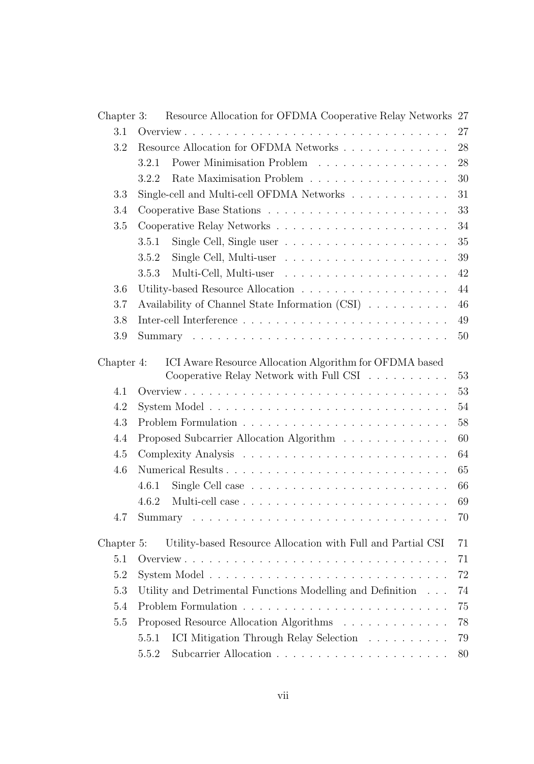| Chapter 3: | Resource Allocation for OFDMA Cooperative Relay Networks 27                                   |    |
|------------|-----------------------------------------------------------------------------------------------|----|
| 3.1        |                                                                                               | 27 |
| 3.2        |                                                                                               | 28 |
|            | Power Minimisation Problem<br>3.2.1                                                           | 28 |
|            | Rate Maximisation Problem<br>3.2.2                                                            | 30 |
| 3.3        | Single-cell and Multi-cell OFDMA Networks $\hfill\ldots\ldots\ldots\ldots\ldots\ldots$        | 31 |
| 3.4        |                                                                                               | 33 |
| 3.5        |                                                                                               | 34 |
|            | 3.5.1                                                                                         | 35 |
|            | 3.5.2                                                                                         | 39 |
|            | 3.5.3                                                                                         | 42 |
| 3.6        |                                                                                               | 44 |
| 3.7        | Availability of Channel State Information (CSI)                                               | 46 |
| 3.8        |                                                                                               | 49 |
| 3.9        |                                                                                               | 50 |
|            |                                                                                               |    |
| Chapter 4: | ICI Aware Resource Allocation Algorithm for OFDMA based                                       | 53 |
| 4.1        | Cooperative Relay Network with Full CSI $\;\ldots\; \ldots\; \ldots\; \ldots\;$               | 53 |
| 4.2        |                                                                                               | 54 |
| 4.3        |                                                                                               | 58 |
| 4.4        |                                                                                               | 60 |
|            | Proposed Subcarrier Allocation Algorithm                                                      |    |
| 4.5        |                                                                                               | 64 |
| 4.6        |                                                                                               | 65 |
|            | 4.6.1                                                                                         | 66 |
|            | 4.6.2                                                                                         | 69 |
| 4.7        | Summary $\ldots \ldots \ldots \ldots \ldots \ldots \ldots \ldots \ldots \ldots \ldots \ldots$ | 70 |
| Chapter 5: | Utility-based Resource Allocation with Full and Partial CSI                                   | 71 |
| 5.1        |                                                                                               | 71 |
| 5.2        |                                                                                               | 72 |
| 5.3        | Utility and Detrimental Functions Modelling and Definition                                    | 74 |
| 5.4        |                                                                                               | 75 |
| $5.5\,$    | Proposed Resource Allocation Algorithms                                                       | 78 |
|            | ICI Mitigation Through Relay Selection<br>5.5.1                                               | 79 |
|            | 5.5.2                                                                                         | 80 |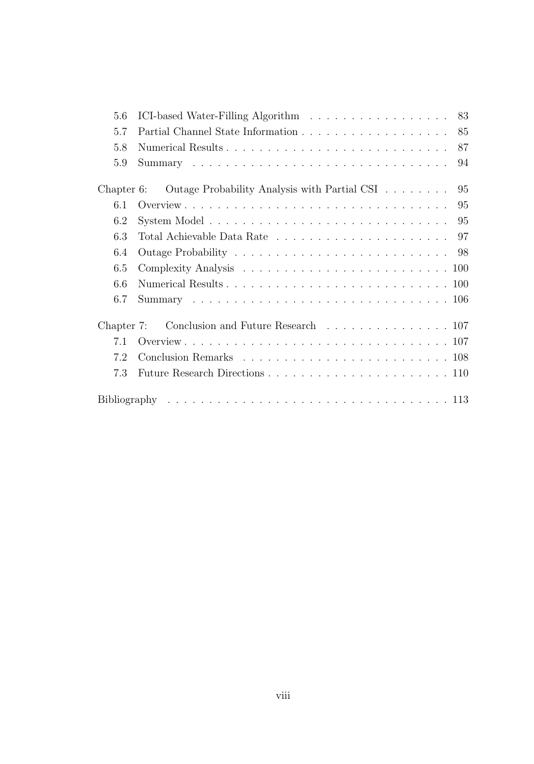| 5.6           | 83                                                                                                 |
|---------------|----------------------------------------------------------------------------------------------------|
| 5.7           | 85                                                                                                 |
| 5.8           | Numerical Results<br>87                                                                            |
| 5.9           | 94                                                                                                 |
| Chapter $6$ : | Outage Probability Analysis with Partial CSI<br>95                                                 |
| 6.1           |                                                                                                    |
|               |                                                                                                    |
| 6.2           | System Model $\ldots \ldots \ldots \ldots \ldots \ldots \ldots \ldots \ldots \ldots \ldots \ldots$ |
| 6.3           |                                                                                                    |
| 6.4           |                                                                                                    |
| 6.5           |                                                                                                    |
| 6.6           |                                                                                                    |
| 6.7           |                                                                                                    |
| Chapter $7:$  | Conclusion and Future Research 107                                                                 |
| 7.1           |                                                                                                    |
| 7.2           |                                                                                                    |
| 7.3           |                                                                                                    |
|               |                                                                                                    |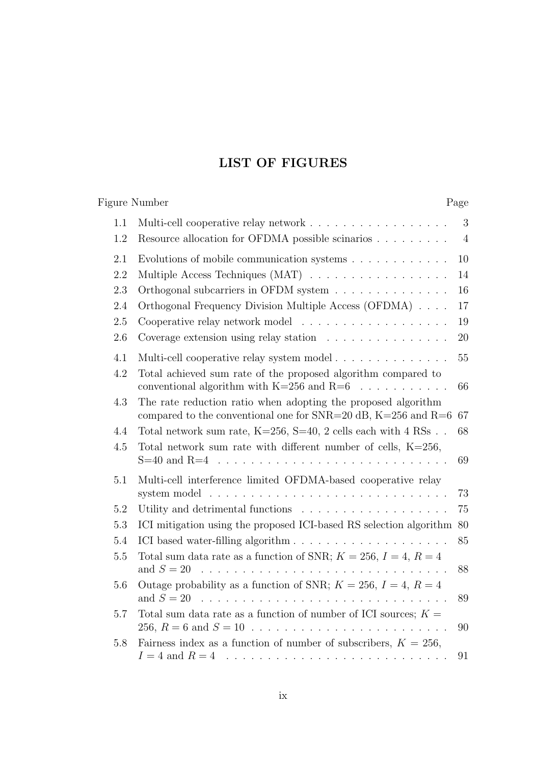## **LIST OF FIGURES**

|            | <b>Figure Number</b>                                                                                                             | Page                |
|------------|----------------------------------------------------------------------------------------------------------------------------------|---------------------|
| 1.1<br>1.2 | Multi-cell cooperative relay network<br>Resource allocation for OFDMA possible scinarios                                         | 3<br>$\overline{4}$ |
| 2.1        | Evolutions of mobile communication systems $. \ . \ . \ . \ . \ . \ . \ . \ . \ .$                                               | 10                  |
| 2.2        | Multiple Access Techniques (MAT)                                                                                                 | 14                  |
| 2.3        | Orthogonal subcarriers in OFDM system $\ldots \ldots \ldots \ldots \ldots$                                                       | 16                  |
| 2.4        | Orthogonal Frequency Division Multiple Access (OFDMA)                                                                            | 17                  |
| 2.5        |                                                                                                                                  | 19                  |
| 2.6        | Coverage extension using relay station                                                                                           | 20                  |
| 4.1        | Multi-cell cooperative relay system model                                                                                        | 55                  |
| 4.2        | Total achieved sum rate of the proposed algorithm compared to<br>conventional algorithm with $K=256$ and $R=6$<br>.              | 66                  |
| 4.3        | The rate reduction ratio when adopting the proposed algorithm<br>compared to the conventional one for SNR=20 dB, $K=256$ and R=6 | 67                  |
| 4.4        | Total network sum rate, $K=256$ , $S=40$ , 2 cells each with 4 RSs                                                               | 68                  |
| 4.5        | Total network sum rate with different number of cells, $K=256$ ,<br>$S=40$ and $R=4$                                             | 69                  |
| 5.1        | Multi-cell interference limited OFDMA-based cooperative relay                                                                    | 73                  |
| 5.2        |                                                                                                                                  | 75                  |
| 5.3        | ICI mitigation using the proposed ICI-based RS selection algorithm 80                                                            |                     |
| 5.4        |                                                                                                                                  | 85                  |
| 5.5        | Total sum data rate as a function of SNR; $K = 256$ , $I = 4$ , $R = 4$<br>and $S = 20$                                          | 88                  |
| 5.6        | Outage probability as a function of SNR; $K = 256$ , $I = 4$ , $R = 4$<br>and $S = 20$                                           | 89                  |
| 5.7        | Total sum data rate as a function of number of ICI sources; $K =$<br>256, $R = 6$ and $S = 10$                                   | 90                  |
| 5.8        | Fairness index as a function of number of subscribers, $K = 256$ ,                                                               | 91                  |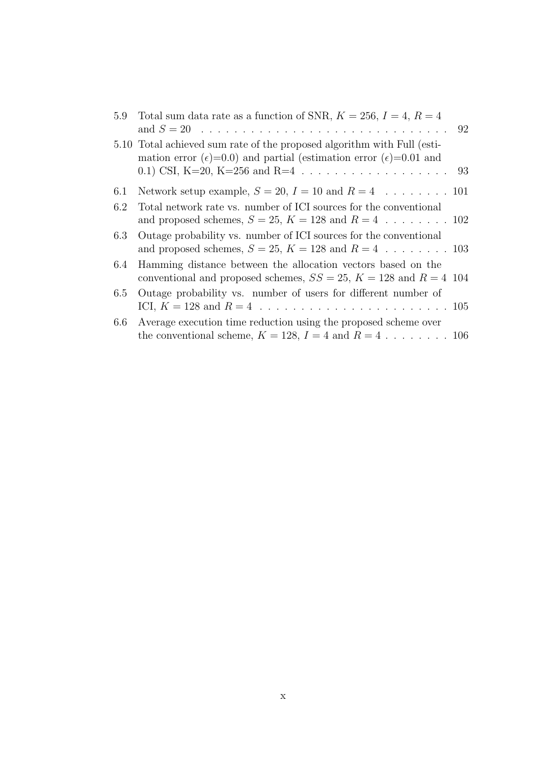| 5.10 Total achieved sum rate of the proposed algorithm with Full (esti-<br>mation error ( $\epsilon$ )=0.0) and partial (estimation error ( $\epsilon$ )=0.01 and |  |
|-------------------------------------------------------------------------------------------------------------------------------------------------------------------|--|
| Network setup example, $S = 20$ , $I = 10$ and $R = 4$ 101<br>6.1                                                                                                 |  |
| Total network rate vs. number of ICI sources for the conventional<br>6.2                                                                                          |  |
| Outage probability vs. number of ICI sources for the conventional<br>6.3                                                                                          |  |
| Hamming distance between the allocation vectors based on the<br>6.4<br>conventional and proposed schemes, $SS = 25$ , $K = 128$ and $R = 4$ 104                   |  |
| Outage probability vs. number of users for different number of<br>6.5                                                                                             |  |
| Average execution time reduction using the proposed scheme over<br>$6.6\,$<br>the conventional scheme, $K = 128$ , $I = 4$ and $R = 4$ 106                        |  |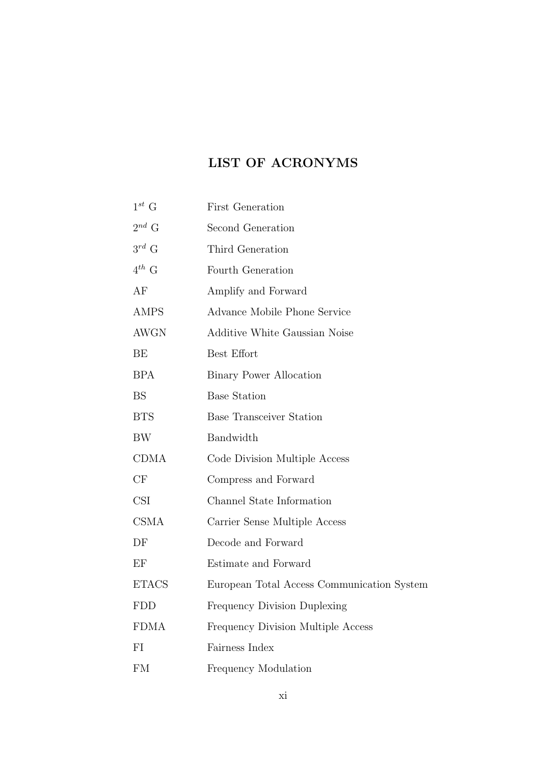### **LIST OF ACRONYMS**

| $1^{st}$ G   | <b>First Generation</b>                    |
|--------------|--------------------------------------------|
| $2^{nd}$ G   | Second Generation                          |
| $3^{rd}$ G   | Third Generation                           |
| $4^{th}$ G   | Fourth Generation                          |
| AF           | Amplify and Forward                        |
| <b>AMPS</b>  | Advance Mobile Phone Service               |
| <b>AWGN</b>  | <b>Additive White Gaussian Noise</b>       |
| BE           | Best Effort                                |
| <b>BPA</b>   | <b>Binary Power Allocation</b>             |
| <b>BS</b>    | <b>Base Station</b>                        |
| <b>BTS</b>   | <b>Base Transceiver Station</b>            |
| BW           | Bandwidth                                  |
| <b>CDMA</b>  | Code Division Multiple Access              |
| CF           | Compress and Forward                       |
| <b>CSI</b>   | Channel State Information                  |
| CSMA         | Carrier Sense Multiple Access              |
| DF           | Decode and Forward                         |
| EF           | Estimate and Forward                       |
| <b>ETACS</b> | European Total Access Communication System |
| <b>FDD</b>   | <b>Frequency Division Duplexing</b>        |
| <b>FDMA</b>  | Frequency Division Multiple Access         |
| FI           | Fairness Index                             |
| <b>FM</b>    | Frequency Modulation                       |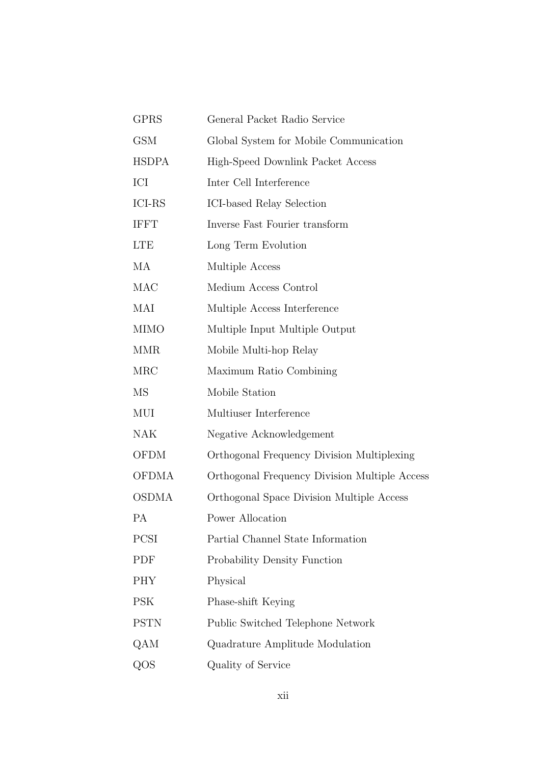| <b>GPRS</b>   | General Packet Radio Service                  |
|---------------|-----------------------------------------------|
| <b>GSM</b>    | Global System for Mobile Communication        |
| <b>HSDPA</b>  | High-Speed Downlink Packet Access             |
| ICI           | Inter Cell Interference                       |
| <b>ICI-RS</b> | ICI-based Relay Selection                     |
| <b>IFFT</b>   | Inverse Fast Fourier transform                |
| <b>LTE</b>    | Long Term Evolution                           |
| MA            | Multiple Access                               |
| MAC           | Medium Access Control                         |
| MAI           | Multiple Access Interference                  |
| <b>MIMO</b>   | Multiple Input Multiple Output                |
| <b>MMR</b>    | Mobile Multi-hop Relay                        |
| <b>MRC</b>    | Maximum Ratio Combining                       |
| MS            | Mobile Station                                |
| MUI           | Multiuser Interference                        |
| NAK           | Negative Acknowledgement                      |
| <b>OFDM</b>   | Orthogonal Frequency Division Multiplexing    |
| <b>OFDMA</b>  | Orthogonal Frequency Division Multiple Access |
| <b>OSDMA</b>  | Orthogonal Space Division Multiple Access     |
| РA            | Power Allocation                              |
| PCSI          | Partial Channel State Information             |
| PDF           | Probability Density Function                  |
| <b>PHY</b>    | Physical                                      |
| PSK           | Phase-shift Keying                            |
| <b>PSTN</b>   | Public Switched Telephone Network             |
| QAM           | Quadrature Amplitude Modulation               |
| QOS           | Quality of Service                            |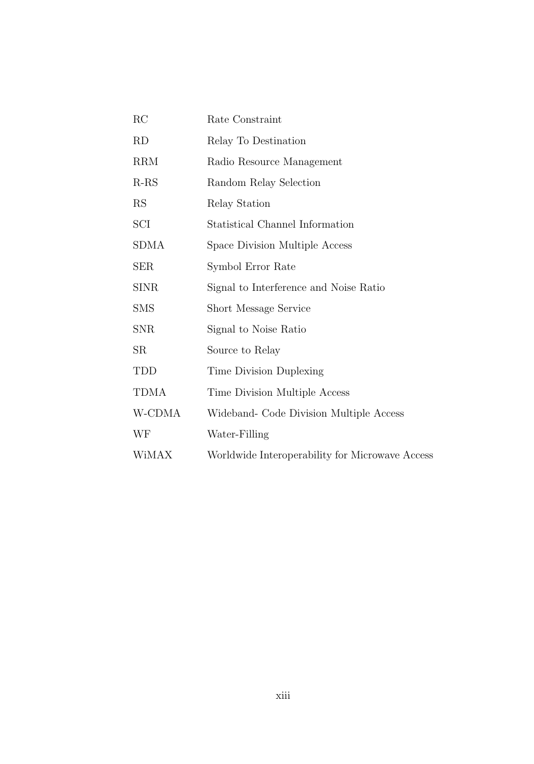| RC          | Rate Constraint                                 |
|-------------|-------------------------------------------------|
| RD          | Relay To Destination                            |
| <b>RRM</b>  | Radio Resource Management                       |
| $R-RS$      | Random Relay Selection                          |
| <b>RS</b>   | Relay Station                                   |
| SCI         | Statistical Channel Information                 |
| <b>SDMA</b> | Space Division Multiple Access                  |
| <b>SER</b>  | Symbol Error Rate                               |
| <b>SINR</b> | Signal to Interference and Noise Ratio          |
| <b>SMS</b>  | <b>Short Message Service</b>                    |
| <b>SNR</b>  | Signal to Noise Ratio                           |
| SR          | Source to Relay                                 |
| TDD         | Time Division Duplexing                         |
| <b>TDMA</b> | Time Division Multiple Access                   |
| W-CDMA      | Wideband- Code Division Multiple Access         |
| WF          | Water-Filling                                   |
| WiMAX       | Worldwide Interoperability for Microwave Access |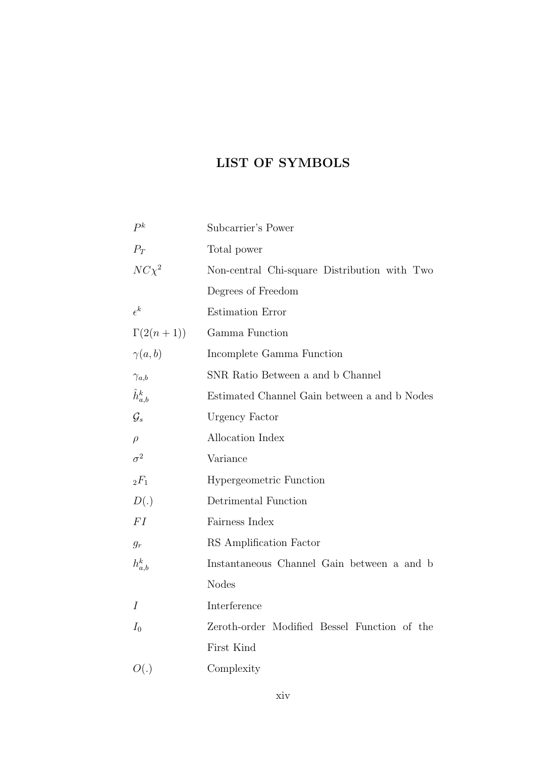### **LIST OF SYMBOLS**

| $P^k$             | Subcarrier's Power                           |
|-------------------|----------------------------------------------|
| $P_T$             | Total power                                  |
| $NC\chi^2$        | Non-central Chi-square Distribution with Two |
|                   | Degrees of Freedom                           |
| $\epsilon^k$      | <b>Estimation Error</b>                      |
| $\Gamma(2(n+1))$  | Gamma Function                               |
| $\gamma(a,b)$     | Incomplete Gamma Function                    |
| $\gamma_{a,b}$    | SNR Ratio Between a and b Channel            |
| $\hat{h}_{a,b}^k$ | Estimated Channel Gain between a and b Nodes |
| $\mathcal{G}_s$   | Urgency Factor                               |
| $\rho$            | Allocation Index                             |
| $\sigma^2$        | Variance                                     |
| ${}_2F_1$         | <b>Hypergeometric Function</b>               |
| D(.)              | Detrimental Function                         |
| FI                | Fairness Index                               |
| $g_r$             | RS Amplification Factor                      |
| $h_{a,b}^k$       | Instantaneous Channel Gain between a and b   |
|                   | <b>Nodes</b>                                 |
| I                 | Interference                                 |
| $I_0$             | Zeroth-order Modified Bessel Function of the |
|                   | First Kind                                   |
| O(.)              | Complexity                                   |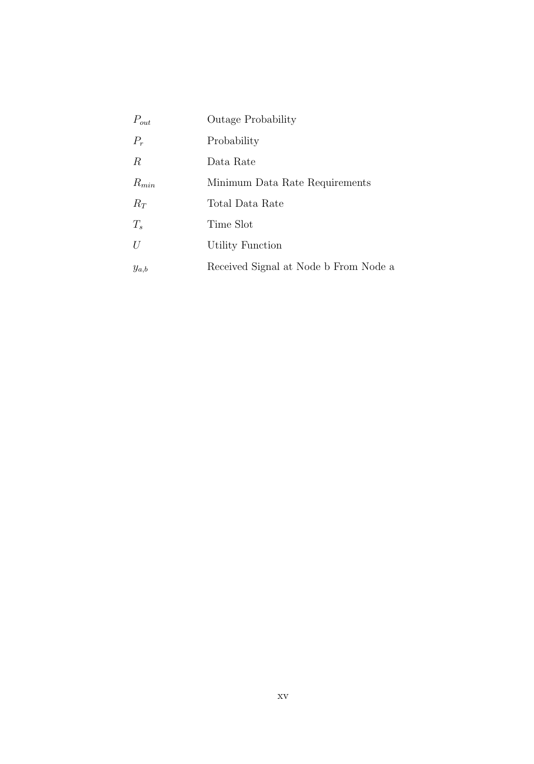| $P_{out}$        | <b>Outage Probability</b>             |
|------------------|---------------------------------------|
| $P_r$            | Probability                           |
| $\boldsymbol{R}$ | Data Rate                             |
| $R_{min}$        | Minimum Data Rate Requirements        |
| $R_T$            | Total Data Rate                       |
| $T_{s}$          | Time Slot                             |
| U                | Utility Function                      |
| $y_{a,b}$        | Received Signal at Node b From Node a |